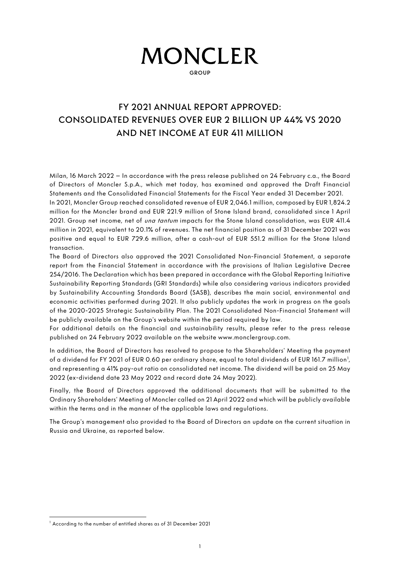# ١

GROUP

## FY 2021 ANNUAL REPORT APPROVED: CONSOLIDATED REVENUES OVER EUR 2 BILLION UP 44% VS 2020 AND NET INCOME AT EUR 411 MILLION

Milan, 16 March 2022 – In accordance with the press release published on 24 February c.a., the Board of Directors of Moncler S.p.A., which met today, has examined and approved the Draft Financial Statements and the Consolidated Financial Statements for the Fiscal Year ended 31 December 2021.

In 2021, Moncler Group reached consolidated revenue of EUR 2,046.1 million, composed by EUR 1,824.2 million for the Moncler brand and EUR 221.9 million of Stone Island brand, consolidated since 1 April 2021. Group net income, net of una tantum impacts for the Stone Island consolidation, was EUR 411.4 million in 2021, equivalent to 20.1% of revenues. The net financial position as of 31 December 2021 was positive and equal to EUR 729.6 million, after a cash-out of EUR 551.2 million for the Stone Island transaction.

The Board of Directors also approved the 2021 Consolidated Non-Financial Statement, a separate report from the Financial Statement in accordance with the provisions of Italian Legislative Decree 254/2016. The Declaration which has been prepared in accordance with the Global Reporting Initiative Sustainability Reporting Standards (GRI Standards) while also considering various indicators provided by Sustainability Accounting Standards Board (SASB), describes the main social, environmental and economic activities performed during 2021. It also publicly updates the work in progress on the goals of the 2020-2025 Strategic Sustainability Plan. The 2021 Consolidated Non-Financial Statement will be publicly available on the Group's website within the period required by law.

For additional details on the financial and sustainability results, please refer to the press release published on 24 February 2022 available on the website www.monclergroup.com.

In addition, the Board of Directors has resolved to propose to the Shareholders' Meeting the payment of a dividend for FY 202[1](#page-0-0) of EUR 0.60 per ordinary share, equal to total dividends of EUR 161.7 million<sup>1</sup>, and representing a 41% pay-out ratio on consolidated net income. The dividend will be paid on 25 May 2022 (ex-dividend date 23 May 2022 and record date 24 May 2022).

Finally, the Board of Directors approved the additional documents that will be submitted to the Ordinary Shareholders' Meeting of Moncler called on 21 April 2022 and which will be publicly available within the terms and in the manner of the applicable laws and regulations.

The Group's management also provided to the Board of Directors an update on the current situation in Russia and Ukraine, as reported below.

<span id="page-0-0"></span><sup>&</sup>lt;sup>1</sup> According to the number of entitled shares as of 31 December 2021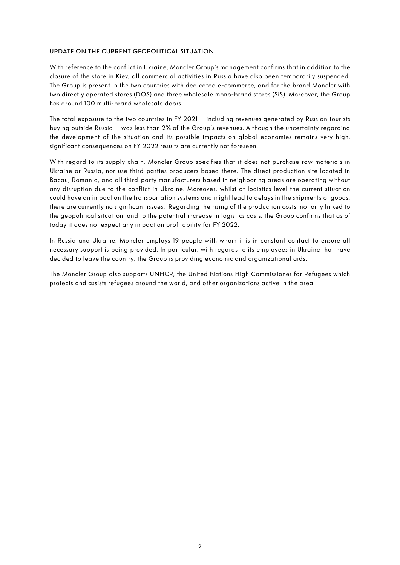#### UPDATE ON THE CURRENT GEOPOLITICAL SITUATION

With reference to the conflict in Ukraine, Moncler Group's management confirms that in addition to the closure of the store in Kiev, all commercial activities in Russia have also been temporarily suspended. The Group is present in the two countries with dedicated e-commerce, and for the brand Moncler with two directly operated stores (DOS) and three wholesale mono-brand stores (SiS). Moreover, the Group has around 100 multi-brand wholesale doors.

The total exposure to the two countries in FY 2021 – including revenues generated by Russian tourists buying outside Russia – was less than 2% of the Group's revenues. Although the uncertainty regarding the development of the situation and its possible impacts on global economies remains very high, significant consequences on FY 2022 results are currently not foreseen.

With regard to its supply chain, Moncler Group specifies that it does not purchase raw materials in Ukraine or Russia, nor use third-parties producers based there. The direct production site located in Bacau, Romania, and all third-party manufacturers based in neighboring areas are operating without any disruption due to the conflict in Ukraine. Moreover, whilst at logistics level the current situation could have an impact on the transportation systems and might lead to delays in the shipments of goods, there are currently no significant issues. Regarding the rising of the production costs, not only linked to the geopolitical situation, and to the potential increase in logistics costs, the Group confirms that as of today it does not expect any impact on profitability for FY 2022.

In Russia and Ukraine, Moncler employs 19 people with whom it is in constant contact to ensure all necessary support is being provided. In particular, with regards to its employees in Ukraine that have decided to leave the country, the Group is providing economic and organizational aids.

The Moncler Group also supports UNHCR, the United Nations High Commissioner for Refugees which protects and assists refugees around the world, and other organizations active in the area.